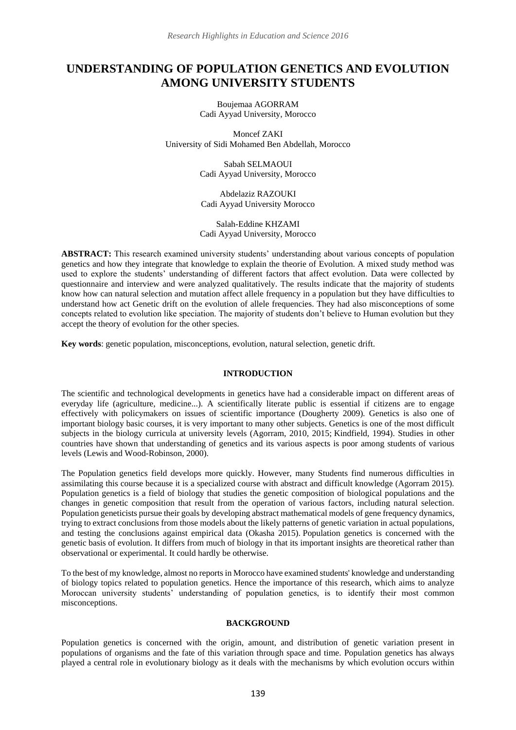# **UNDERSTANDING OF POPULATION GENETICS AND EVOLUTION AMONG UNIVERSITY STUDENTS**

Boujemaa AGORRAM Cadi Ayyad University, Morocco

Moncef ZAKI University of Sidi Mohamed Ben Abdellah, Morocco

> Sabah SELMAOUI Cadi Ayyad University, Morocco

Abdelaziz RAZOUKI Cadi Ayyad University Morocco

Salah-Eddine KHZAMI Cadi Ayyad University, Morocco

**ABSTRACT:** This research examined university students' understanding about various concepts of population genetics and how they integrate that knowledge to explain the theorie of Evolution. A mixed study method was used to explore the students' understanding of different factors that affect evolution. Data were collected by questionnaire and interview and were analyzed qualitatively. The results indicate that the majority of students know how can natural selection and mutation affect allele frequency in a population but they have difficulties to understand how act Genetic drift on the evolution of allele frequencies. They had also misconceptions of some concepts related to evolution like speciation. The majority of students don't believe to Human evolution but they accept the theory of evolution for the other species.

**Key words**: genetic population, misconceptions, evolution, natural selection, genetic drift.

# **INTRODUCTION**

The scientific and technological developments in genetics have had a considerable impact on different areas of everyday life (agriculture, medicine...). A scientifically literate public is essential if citizens are to engage effectively with policymakers on issues of scientific importance (Dougherty 2009)*.* Genetics is also one of important biology basic courses, it is very important to many other subjects. Genetics is one of the most difficult subjects in the biology curricula at university levels (Agorram, 2010, 2015; Kindfield, 1994). Studies in other countries have shown that understanding of genetics and its various aspects is poor among students of various levels (Lewis and Wood-Robinson, 2000).

The Population genetics field develops more quickly. However, many Students find numerous difficulties in assimilating this course because it is a specialized course with abstract and difficult knowledge (Agorram 2015). Population genetics is a field of biology that studies the genetic composition of biological populations and the changes in genetic composition that result from the operation of various factors, including natural selection. Population geneticists pursue their goals by developing abstract mathematical models of gene frequency dynamics, trying to extract conclusions from those models about the likely patterns of genetic variation in actual populations, and testing the conclusions against empirical data (Okasha 2015). Population genetics is concerned with the genetic basis of evolution. It differs from much of biology in that its important insights are theoretical rather than observational or experimental. It could hardly be otherwise.

To the best of my knowledge, almost no reports in Morocco have examined students' knowledge and understanding of biology topics related to population genetics. Hence the importance of this research, which aims to analyze Moroccan university students' understanding of population genetics, is to identify their most common misconceptions.

## **BACKGROUND**

Population genetics is concerned with the origin, amount, and distribution of genetic variation present in populations of organisms and the fate of this variation through space and time. Population genetics has always played a central role in evolutionary biology as it deals with the mechanisms by which evolution occurs within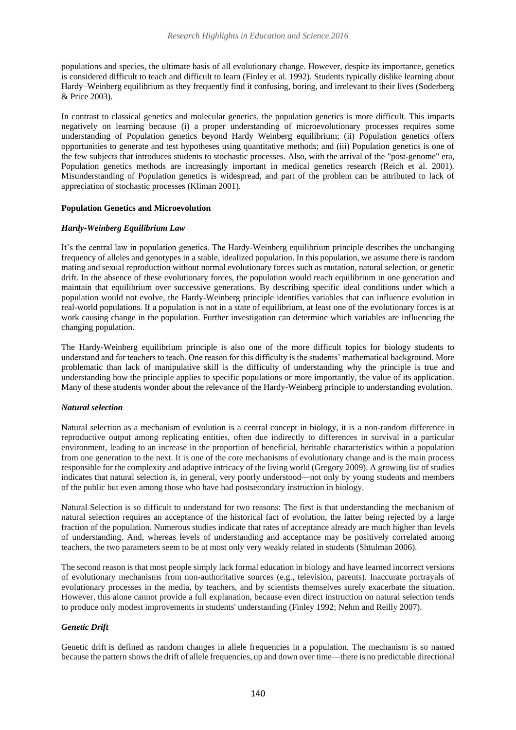populations and species, the ultimate basis of all evolutionary change. However, despite its importance, genetics is considered difficult to teach and difficult to learn (Finley et al. 1992). Students typically dislike learning about Hardy–Weinberg equilibrium as they frequently find it confusing, boring, and irrelevant to their lives (Soderberg & Price 2003).

In contrast to classical genetics and molecular genetics, the population genetics is more difficult. This impacts negatively on learning because (i) a proper understanding of microevolutionary processes requires some understanding of Population genetics beyond Hardy Weinberg equilibrium; (ii) Population genetics offers opportunities to generate and test hypotheses using quantitative methods; and (iii) Population genetics is one of the few subjects that introduces students to stochastic processes. Also, with the arrival of the "post-genome" era, Population genetics methods are increasingly important in medical genetics research (Reich et al. 2001). Misunderstanding of Population genetics is widespread, and part of the problem can be attributed to lack of appreciation of stochastic processes (Kliman 2001).

## **Population Genetics and Microevolution**

## *Hardy-Weinberg Equilibrium Law*

It's the central law in population genetics. The Hardy-Weinberg equilibrium principle describes the unchanging frequency of alleles and genotypes in a stable, idealized population. In this population, we assume there is random mating and sexual reproduction without normal evolutionary forces such as mutation, natural selection, or genetic drift. In the absence of these evolutionary forces, the population would reach equilibrium in one generation and maintain that equilibrium over successive generations. By describing specific ideal conditions under which a population would not evolve, the Hardy-Weinberg principle identifies variables that can influence evolution in real-world populations. If a population is not in a state of equilibrium, at least one of the evolutionary forces is at work causing change in the population. Further investigation can determine which variables are influencing the changing population.

The Hardy-Weinberg equilibrium principle is also one of the more difficult topics for biology students to understand and for teachers to teach. One reason for this difficulty is the students' mathematical background. More problematic than lack of manipulative skill is the difficulty of understanding why the principle is true and understanding how the principle applies to specific populations or more importantly, the value of its application. Many of these students wonder about the relevance of the Hardy-Weinberg principle to understanding evolution.

#### *Natural selection*

Natural selection as a mechanism of evolution is a central concept in biology, it is a non-random difference in reproductive output among replicating entities, often due indirectly to differences in survival in a particular environment, leading to an increase in the proportion of beneficial, heritable characteristics within a population from one generation to the next. It is one of the core mechanisms of evolutionary change and is the main process responsible for the complexity and adaptive intricacy of the living world (Gregory 2009). A growing list of studies indicates that natural selection is, in general, very poorly understood—not only by young students and members of the public but even among those who have had postsecondary instruction in biology.

Natural Selection is so difficult to understand for two reasons: The first is that understanding the mechanism of natural selection requires an acceptance of the historical fact of evolution, the latter being rejected by a large fraction of the population. Numerous studies indicate that rates of acceptance already are much higher than levels of understanding. And, whereas levels of understanding and acceptance may be positively correlated among teachers, the two parameters seem to be at most only very weakly related in students (Shtulman 2006).

The second reason is that most people simply lack formal education in biology and have learned incorrect versions of evolutionary mechanisms from non-authoritative sources (e.g., television, parents). Inaccurate portrayals of evolutionary processes in the media, by teachers, and by scientists themselves surely exacerbate the situation. However, this alone cannot provide a full explanation, because even direct instruction on natural selection tends to produce only modest improvements in students' understanding (Finley 1992; Nehm and Reilly 2007).

#### *Genetic Drift*

Genetic drift is defined as random changes in allele frequencies in a population. The mechanism is so named because the pattern shows the drift of allele frequencies, up and down over time—there is no predictable directional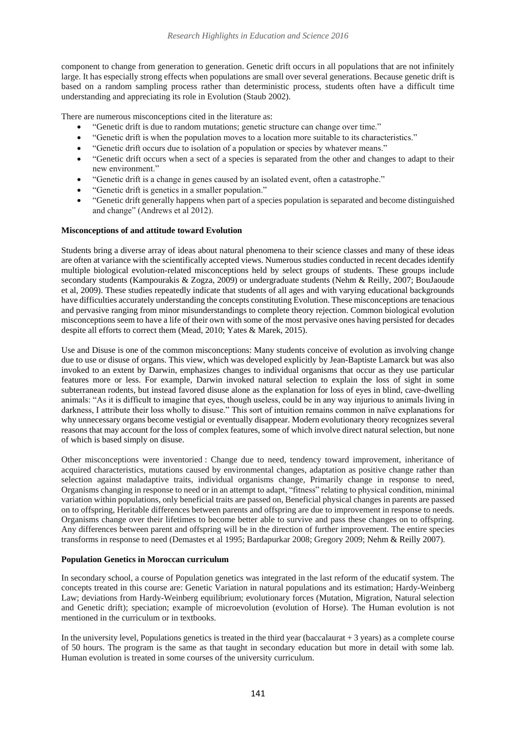component to change from generation to generation. Genetic drift occurs in all populations that are not infinitely large. It has especially strong effects when populations are small over several generations. Because genetic drift is based on a random sampling process rather than deterministic process, students often have a difficult time understanding and appreciating its role in Evolution (Staub 2002).

There are numerous misconceptions cited in the literature as:

- "Genetic drift is due to random mutations; genetic structure can change over time."
- "Genetic drift is when the population moves to a location more suitable to its characteristics."
- "Genetic drift occurs due to isolation of a population or species by whatever means."
- "Genetic drift occurs when a sect of a species is separated from the other and changes to adapt to their new environment."
- "Genetic drift is a change in genes caused by an isolated event, often a catastrophe."
- "Genetic drift is genetics in a smaller population."
- "Genetic drift generally happens when part of a species population is separated and become distinguished and change" (Andrews et al 2012).

## **Misconceptions of and attitude toward Evolution**

Students bring a diverse array of ideas about natural phenomena to their science classes and many of these ideas are often at variance with the scientifically accepted views. Numerous studies conducted in recent decades identify multiple biological evolution-related misconceptions held by select groups of students. These groups include secondary students (Kampourakis & Zogza, 2009) or undergraduate students (Nehm & Reilly, 2007; BouJaoude et al, 2009). These studies repeatedly indicate that students of all ages and with varying educational backgrounds have difficulties accurately understanding the concepts constituting Evolution. These misconceptions are tenacious and pervasive ranging from minor misunderstandings to complete theory rejection. Common biological evolution misconceptions seem to have a life of their own with some of the most pervasive ones having persisted for decades despite all efforts to correct them (Mead, 2010; Yates & Marek, 2015).

Use and Disuse is one of the common misconceptions: Many students conceive of evolution as involving change due to use or disuse of organs. This view, which was developed explicitly by Jean-Baptiste Lamarck but was also invoked to an extent by Darwin, emphasizes changes to individual organisms that occur as they use particular features more or less. For example, Darwin invoked natural selection to explain the loss of sight in some subterranean rodents, but instead favored disuse alone as the explanation for loss of eyes in blind, cave-dwelling animals: "As it is difficult to imagine that eyes, though useless, could be in any way injurious to animals living in darkness, I attribute their loss wholly to disuse." This sort of intuition remains common in naïve explanations for why unnecessary organs become vestigial or eventually disappear. Modern evolutionary theory recognizes several reasons that may account for the loss of complex features, some of which involve direct natural selection, but none of which is based simply on disuse.

Other misconceptions were inventoried : Change due to need, tendency toward improvement, inheritance of acquired characteristics, mutations caused by environmental changes, adaptation as positive change rather than selection against maladaptive traits, individual organisms change, Primarily change in response to need, Organisms changing in response to need or in an attempt to adapt, "fitness" relating to physical condition, minimal variation within populations, only beneficial traits are passed on, Beneficial physical changes in parents are passed on to offspring, Heritable differences between parents and offspring are due to improvement in response to needs. Organisms change over their lifetimes to become better able to survive and pass these changes on to offspring. Any differences between parent and offspring will be in the direction of further improvement. The entire species transforms in response to need (Demastes et al 1995; Bardapurkar 2008; Gregory 2009; Nehm & Reilly 2007).

#### **Population Genetics in Moroccan curriculum**

In secondary school, a course of Population genetics was integrated in the last reform of the educatif system. The concepts treated in this course are: Genetic Variation in natural populations and its estimation; Hardy-Weinberg Law; deviations from Hardy-Weinberg equilibrium; evolutionary forces (Mutation, Migration, Natural selection and Genetic drift); speciation; example of microevolution (evolution of Horse). The Human evolution is not mentioned in the curriculum or in textbooks.

In the university level, Populations genetics is treated in the third year (baccalaurat  $+3$  years) as a complete course of 50 hours. The program is the same as that taught in secondary education but more in detail with some lab. Human evolution is treated in some courses of the university curriculum.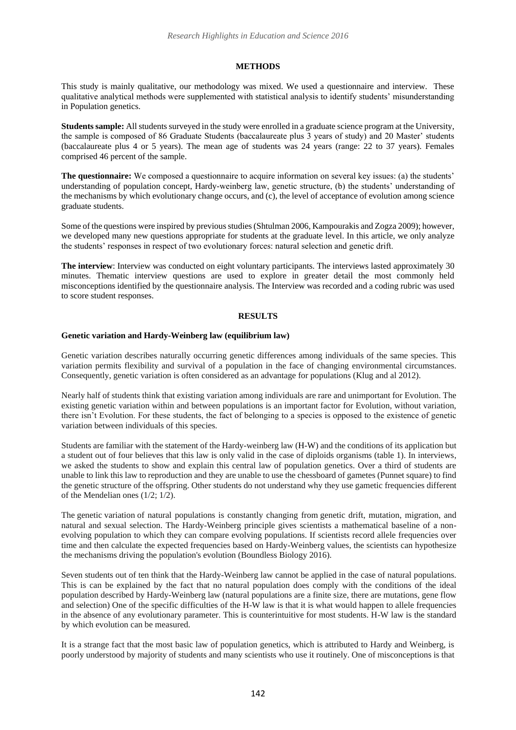# **METHODS**

This study is mainly qualitative, our methodology was mixed. We used a questionnaire and interview. These qualitative analytical methods were supplemented with statistical analysis to identify students' misunderstanding in Population genetics.

**Students sample:** All students surveyed in the study were enrolled in a graduate science program at the University, the sample is composed of 86 Graduate Students (baccalaureate plus 3 years of study) and 20 Master' students (baccalaureate plus 4 or 5 years). The mean age of students was 24 years (range: 22 to 37 years). Females comprised 46 percent of the sample.

**The questionnaire:** We composed a questionnaire to acquire information on several key issues: (a) the students' understanding of population concept, Hardy-weinberg law, genetic structure, (b) the students' understanding of the mechanisms by which evolutionary change occurs, and (c), the level of acceptance of evolution among science graduate students.

Some of the questions were inspired by previous studies (Shtulman 2006, Kampourakis and Zogza 2009); however, we developed many new questions appropriate for students at the graduate level. In this article, we only analyze the students' responses in respect of two evolutionary forces: natural selection and genetic drift.

**The interview**: Interview was conducted on eight voluntary participants. The interviews lasted approximately 30 minutes. Thematic interview questions are used to explore in greater detail the most commonly held misconceptions identified by the questionnaire analysis. The Interview was recorded and a coding rubric was used to score student responses.

## **RESULTS**

# **Genetic variation and Hardy-Weinberg law (equilibrium law)**

Genetic variation describes naturally occurring genetic differences among individuals of the same species. This variation permits flexibility and survival of a population in the face of changing environmental circumstances. Consequently, genetic variation is often considered as an advantage for populations (Klug and al 2012).

Nearly half of students think that existing variation among individuals are rare and unimportant for Evolution. The existing genetic variation within and between populations is an important factor for Evolution, without variation, there isn't Evolution. For these students, the fact of belonging to a species is opposed to the existence of genetic variation between individuals of this species.

Students are familiar with the statement of the Hardy-weinberg law (H-W) and the conditions of its application but a student out of four believes that this law is only valid in the case of diploids organisms (table 1). In interviews, we asked the students to show and explain this central law of population genetics. Over a third of students are unable to link this law to reproduction and they are unable to use the chessboard of gametes (Punnet square) to find the genetic structure of the offspring. Other students do not understand why they use gametic frequencies different of the Mendelian ones (1/2; 1/2).

The [genetic](https://www.boundless.com/biology/definition/genetic-variation/) [variation](https://www.boundless.com/biology/definition/genetic-variation/) of natural populations is constantly changing from [genetic drift,](https://www.boundless.com/biology/definition/genetic-drift/) mutation, migration, and natural and sexual selection. The Hardy-Weinberg principle gives scientists a mathematical baseline of a nonevolving population to which they can compare evolving populations. If scientists record allele frequencies over time and then calculate the expected frequencies based on Hardy-Weinberg values, the scientists can hypothesize the mechanisms driving the population's evolution (Boundless Biology 2016).

Seven students out of ten think that the Hardy-Weinberg law cannot be applied in the case of natural populations. This is can be explained by the fact that no natural population does comply with the conditions of the ideal population described by Hardy-Weinberg law (natural populations are a finite size, there are mutations, gene flow and selection) One of the specific difficulties of the H-W law is that it is what would happen to allele frequencies in the absence of any evolutionary parameter. This is counterintuitive for most students. H-W law is the standard by which evolution can be measured.

It is a strange fact that the most basic law of population genetics, which is attributed to Hardy and Weinberg, is poorly understood by majority of students and many scientists who use it routinely. One of misconceptions is that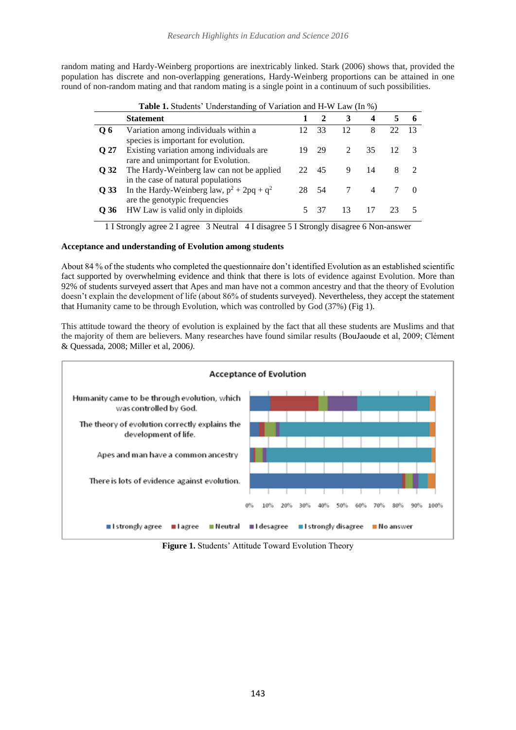random mating and Hardy-Weinberg proportions are inextricably linked. Stark (2006) shows that, provided the population has discrete and non-overlapping generations, Hardy-Weinberg proportions can be attained in one round of non-random mating and that random mating is a single point in a continuum of such possibilities.

**Table 1.** Students' Understanding of Variation and H-W Law (In %)

| <b>rapic 1.</b> Diagonts Chacistanuing Or Variation and 11-4V Law (111 70) |                                                                                 |       |       |                             |     |    |  |
|----------------------------------------------------------------------------|---------------------------------------------------------------------------------|-------|-------|-----------------------------|-----|----|--|
|                                                                            | <b>Statement</b>                                                                |       |       | 3                           | 4   |    |  |
| Q6                                                                         | Variation among individuals within a<br>species is important for evolution.     | 12    | 33    | 12                          | 8   | 22 |  |
| O 27                                                                       | Existing variation among individuals are<br>rare and unimportant for Evolution. | 19    | 29    | $\mathcal{D}_{\mathcal{L}}$ | 35  |    |  |
| O 32                                                                       | The Hardy-Weinberg law can not be applied<br>in the case of natural populations | 22 45 |       | 9                           | -14 | 8  |  |
| O 33                                                                       | In the Hardy-Weinberg law, $p^2 + 2pq + q^2$<br>are the genotypic frequencies   |       | 28 54 |                             |     |    |  |
| O 36                                                                       | HW Law is valid only in diploids                                                |       | -37   | 13                          |     |    |  |

1 I Strongly agree 2 I agree 3 Neutral 4 I disagree 5 I Strongly disagree 6 Non-answer

# **Acceptance and understanding of Evolution among students**

About 84 % of the students who completed the questionnaire don't identified Evolution as an established scientific fact supported by overwhelming evidence and think that there is lots of evidence against Evolution. More than 92% of students surveyed assert that Apes and man have not a common ancestry and that the theory of Evolution doesn't explain the development of life (about 86% of students surveyed). Nevertheless, they accept the statement that Humanity came to be through Evolution, which was controlled by God (37%) (Fig 1).

This attitude toward the theory of evolution is explained by the fact that all these students are Muslims and that the majority of them are believers. Many researches have found similar results (BouJaoude et al, 2009; Clément & Quessada, 2008; Miller et al, 2006*)*.



**Figure 1.** Students' Attitude Toward Evolution Theory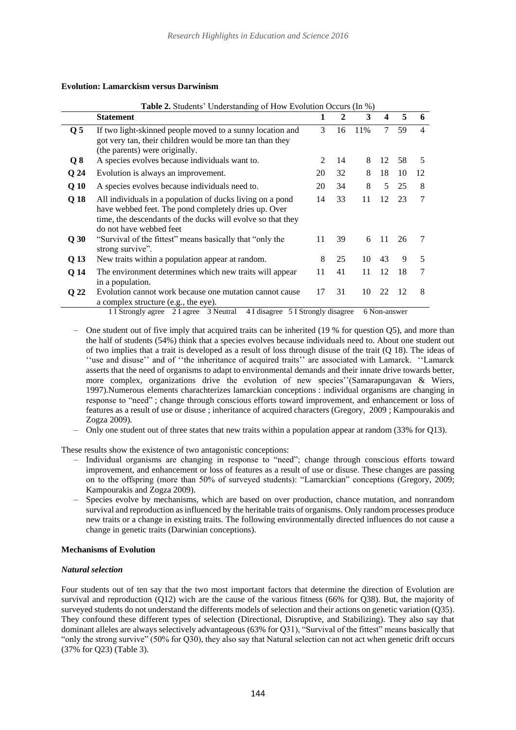## **Evolution: Lamarckism versus Darwinism**

| <b>Table 2.</b> Students' Understanding of How Evolution Occurs (In %) |                                                                                                                                                                                                             |                |    |     |                  |    |                |  |  |
|------------------------------------------------------------------------|-------------------------------------------------------------------------------------------------------------------------------------------------------------------------------------------------------------|----------------|----|-----|------------------|----|----------------|--|--|
|                                                                        | <b>Statement</b>                                                                                                                                                                                            | 1              | 2  | 3   | $\boldsymbol{4}$ | 5  | 6              |  |  |
| Q <sub>5</sub>                                                         | If two light-skinned people moved to a sunny location and<br>got very tan, their children would be more tan than they<br>(the parents) were originally.                                                     | 3              | 16 | 11% | 7                | 59 | $\overline{4}$ |  |  |
| Q8                                                                     | A species evolves because individuals want to.                                                                                                                                                              | $\mathfrak{D}$ | 14 | 8   | 12               | 58 | 5              |  |  |
| Q <sub>24</sub>                                                        | Evolution is always an improvement.                                                                                                                                                                         | 20             | 32 | 8   | 18               | 10 | 12             |  |  |
| Q <sub>10</sub>                                                        | A species evolves because individuals need to.                                                                                                                                                              | 20             | 34 | 8   | 5                | 25 | 8              |  |  |
| Q 18                                                                   | All individuals in a population of ducks living on a pond<br>have webbed feet. The pond completely dries up. Over<br>time, the descendants of the ducks will evolve so that they<br>do not have webbed feet | 14             | 33 | 11  | 12               | 23 | 7              |  |  |
| Q30                                                                    | "Survival of the fittest" means basically that "only the<br>strong survive".                                                                                                                                | 11             | 39 | 6   | 11               | 26 |                |  |  |
| Q 13                                                                   | New traits within a population appear at random.                                                                                                                                                            | 8              | 25 | 10  | 43               | 9  | 5              |  |  |
| Q <sub>14</sub>                                                        | The environment determines which new traits will appear<br>in a population.                                                                                                                                 | 11             | 41 | 11  | 12               | 18 | 7              |  |  |
| Q 22                                                                   | Evolution cannot work because one mutation cannot cause<br>a complex structure (e.g., the eye).                                                                                                             | 17             | 31 | 10  | 22               | 12 | 8              |  |  |
|                                                                        | 4 I disagree 5 I Strongly disagree<br>1 I Strongly agree 2 I agree 3 Neutral                                                                                                                                |                |    |     | 6 Non-answer     |    |                |  |  |

One student out of five imply that acquired traits can be inherited (19 % for question Q5), and more than the half of students (54%) think that a species evolves because individuals need to. About one student out of two implies that a trait is developed as a result of loss through disuse of the trait (Q 18). The ideas of ''use and disuse'' and of ''the inheritance of acquired traits'' are associated with Lamarck. ''Lamarck asserts that the need of organisms to adapt to environmental demands and their innate drive towards better, more complex, organizations drive the evolution of new species''(Samarapungavan & Wiers, 1997).Numerous elements charachterizes lamarckian conceptions : individual organisms are changing in response to "need" ; change through conscious efforts toward improvement, and enhancement or loss of features as a result of use or disuse ; inheritance of acquired characters (Gregory, 2009 ; Kampourakis and Zogza 2009).

‒ Only one student out of three states that new traits within a population appear at random (33% for Q13).

These results show the existence of two antagonistic conceptions:

- ‒ Individual organisms are changing in response to "need"; change through conscious efforts toward improvement, and enhancement or loss of features as a result of use or disuse. These changes are passing on to the offspring (more than 50% of surveyed students): "Lamarckian" conceptions (Gregory, 2009; Kampourakis and Zogza 2009).
- ‒ Species evolve by mechanisms, which are based on over production, chance mutation, and nonrandom survival and reproduction as influenced by the heritable traits of organisms. Only random processes produce new traits or a change in existing traits. The following environmentally directed influences do not cause a change in genetic traits (Darwinian conceptions).

#### **Mechanisms of Evolution**

# *Natural selection*

Four students out of ten say that the two most important factors that determine the direction of Evolution are survival and reproduction (Q12) wich are the cause of the various fitness (66% for Q38). But, the majority of surveyed students do not understand the differents models of selection and their actions on genetic variation (Q35). They confound these different types of selection (Directional, Disruptive, and Stabilizing). They also say that dominant alleles are always selectively advantageous (63% for Q31), "Survival of the fittest" means basically that "only the strong survive" (50% for Q30), they also say that Natural selection can not act when genetic drift occurs (37% for Q23) (Table 3).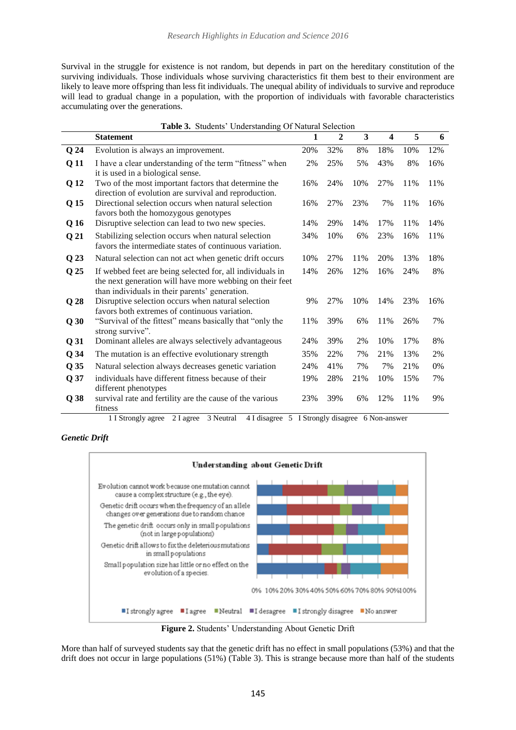Survival in the struggle for existence is not random, but depends in part on the hereditary constitution of the surviving individuals. Those individuals whose surviving characteristics fit them best to their environment are likely to leave more offspring than less fit individuals. The unequal ability of individuals to survive and reproduce will lead to gradual change in a population, with the proportion of individuals with favorable characteristics accumulating over the generations.

| Table 3. Students' Understanding Of Natural Selection |                                                                                                                                                                         |     |     |     |                         |     |       |  |
|-------------------------------------------------------|-------------------------------------------------------------------------------------------------------------------------------------------------------------------------|-----|-----|-----|-------------------------|-----|-------|--|
|                                                       | <b>Statement</b>                                                                                                                                                        | 1   | 2   | 3   | $\overline{\mathbf{4}}$ | 5   | 6     |  |
| Q <sub>24</sub>                                       | Evolution is always an improvement.                                                                                                                                     | 20% | 32% | 8%  | 18%                     | 10% | 12%   |  |
| Q <sub>11</sub>                                       | I have a clear understanding of the term "fitness" when<br>it is used in a biological sense.                                                                            | 2%  | 25% | 5%  | 43%                     | 8%  | 16%   |  |
| Q 12                                                  | Two of the most important factors that determine the<br>direction of evolution are survival and reproduction.                                                           | 16% | 24% | 10% | 27%                     | 11% | 11%   |  |
| Q 15                                                  | Directional selection occurs when natural selection<br>favors both the homozygous genotypes                                                                             | 16% | 27% | 23% | 7%                      | 11% | 16%   |  |
| Q 16                                                  | Disruptive selection can lead to two new species.                                                                                                                       | 14% | 29% | 14% | 17%                     | 11% | 14%   |  |
| Q <sub>21</sub>                                       | Stabilizing selection occurs when natural selection<br>favors the intermediate states of continuous variation.                                                          | 34% | 10% | 6%  | 23%                     | 16% | 11%   |  |
| Q <sub>23</sub>                                       | Natural selection can not act when genetic drift occurs                                                                                                                 | 10% | 27% | 11% | 20%                     | 13% | 18%   |  |
| Q 25                                                  | If webbed feet are being selected for, all individuals in<br>the next generation will have more webbing on their feet<br>than individuals in their parents' generation. | 14% | 26% | 12% | 16%                     | 24% | 8%    |  |
| Q <sub>28</sub>                                       | Disruptive selection occurs when natural selection<br>favors both extremes of continuous variation.                                                                     | 9%  | 27% | 10% | 14%                     | 23% | 16%   |  |
| Q30                                                   | "Survival of the fittest" means basically that "only the<br>strong survive".                                                                                            | 11% | 39% | 6%  | 11%                     | 26% | 7%    |  |
| Q <sub>31</sub>                                       | Dominant alleles are always selectively advantageous                                                                                                                    | 24% | 39% | 2%  | 10%                     | 17% | 8%    |  |
| $Q$ 34                                                | The mutation is an effective evolutionary strength                                                                                                                      | 35% | 22% | 7%  | 21%                     | 13% | 2%    |  |
| Q 35                                                  | Natural selection always decreases genetic variation                                                                                                                    | 24% | 41% | 7%  | 7%                      | 21% | $0\%$ |  |
| Q 37                                                  | individuals have different fitness because of their<br>different phenotypes                                                                                             | 19% | 28% | 21% | 10%                     | 15% | 7%    |  |
| Q <sub>38</sub>                                       | survival rate and fertility are the cause of the various<br>fitness                                                                                                     | 23% | 39% | 6%  | 12%                     | 11% | 9%    |  |

1 I Strongly agree 2 I agree 3 Neutral 4 I disagree 5 I Strongly disagree 6 Non-answer

*Genetic Drift* 



**Figure 2.** Students' Understanding About Genetic Drift

More than half of surveyed students say that the genetic drift has no effect in small populations (53%) and that the drift does not occur in large populations (51%) (Table 3). This is strange because more than half of the students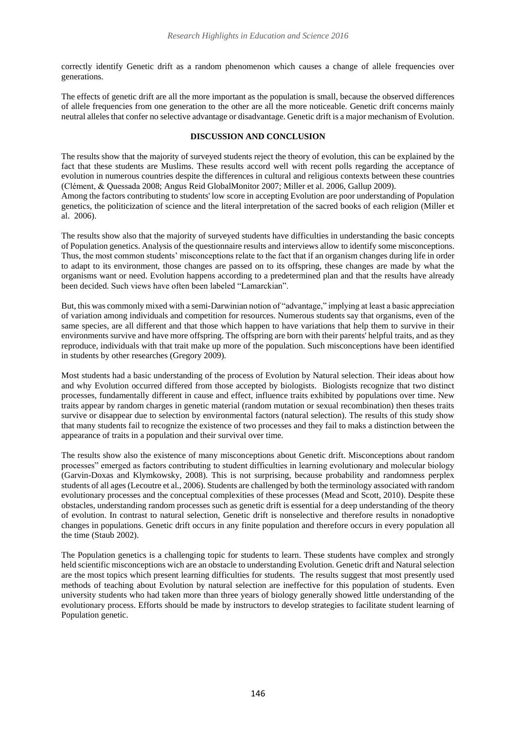correctly identify Genetic drift as a random phenomenon which causes a change of allele frequencies over generations.

The effects of genetic drift are all the more important as the population is small, because the observed differences of allele frequencies from one generation to the other are all the more noticeable. Genetic drift concerns mainly neutral alleles that confer no selective advantage or disadvantage. Genetic drift is a major mechanism of Evolution.

## **DISCUSSION AND CONCLUSION**

The results show that the majority of surveyed students reject the theory of evolution, this can be explained by the fact that these students are Muslims. These results accord well with recent polls regarding the acceptance of evolution in numerous countries despite the differences in cultural and religious contexts between these countries (Clément, & Quessada 2008; Angus Reid GlobalMonitor 2007; Miller et al. 2006, Gallup 2009).

Among the factors contributing to students' low score in accepting Evolution are poor understanding of Population [genetics,](http://www.livescience.com/10486-genes-instruction-manuals-life.html) the politicization of science and the literal interpretation of the sacred books of each religion (Miller et al. 2006).

The results show also that the majority of surveyed students have difficulties in understanding the basic concepts of Population genetics. Analysis of the questionnaire results and interviews allow to identify some misconceptions. Thus, the most common students' misconceptions relate to the fact that if an organism changes during life in order to adapt to its environment, those changes are passed on to its offspring, these changes are made by what the organisms want or need. Evolution happens according to a predetermined plan and that the results have already been decided. Such views have often been labeled "Lamarckian".

But, this was commonly mixed with a semi-Darwinian notion of "advantage," implying at least a basic appreciation of variation among individuals and competition for resources. Numerous students say that organisms, even of the same species, are all different and that those which happen to have variations that help them to survive in their environments survive and have more offspring. The offspring are born with their parents' helpful traits, and as they reproduce, individuals with that trait make up more of the population. Such misconceptions have been identified in students by other researches (Gregory 2009).

Most students had a basic understanding of the process of Evolution by Natural selection. Their ideas about how and why Evolution occurred differed from those accepted by biologists. Biologists recognize that two distinct processes, fundamentally different in cause and effect, influence traits exhibited by populations over time. New traits appear by random charges in genetic material (random mutation or sexual recombination) then theses traits survive or disappear due to selection by environmental factors (natural selection). The results of this study show that many students fail to recognize the existence of two processes and they fail to maks a distinction between the appearance of traits in a population and their survival over time.

The results show also the existence of many misconceptions about Genetic drift. Misconceptions about random processes" emerged as factors contributing to student difficulties in learning evolutionary and molecular biology (Garvin-Doxas and Klymkowsky, 2008). This is not surprising, because probability and randomness perplex students of all ages (Lecoutre et al., 2006). Students are challenged by both the terminology associated with random evolutionary processes and the conceptual complexities of these processes (Mead and Scott, 2010). Despite these obstacles, understanding random processes such as genetic drift is essential for a deep understanding of the theory of evolution. In contrast to natural selection, Genetic drift is nonselective and therefore results in nonadoptive changes in populations. Genetic drift occurs in any finite population and therefore occurs in every population all the time (Staub 2002).

The Population genetics is a challenging topic for students to learn. These students have complex and strongly held scientific misconceptions wich are an obstacle to understanding Evolution. Genetic drift and Natural selection are the most topics which present learning difficulties for students. The results suggest that most presently used methods of teaching about Evolution by natural selection are ineffective for this population of students. Even university students who had taken more than three years of biology generally showed little understanding of the evolutionary process. Efforts should be made by instructors to develop strategies to facilitate student learning of Population genetic.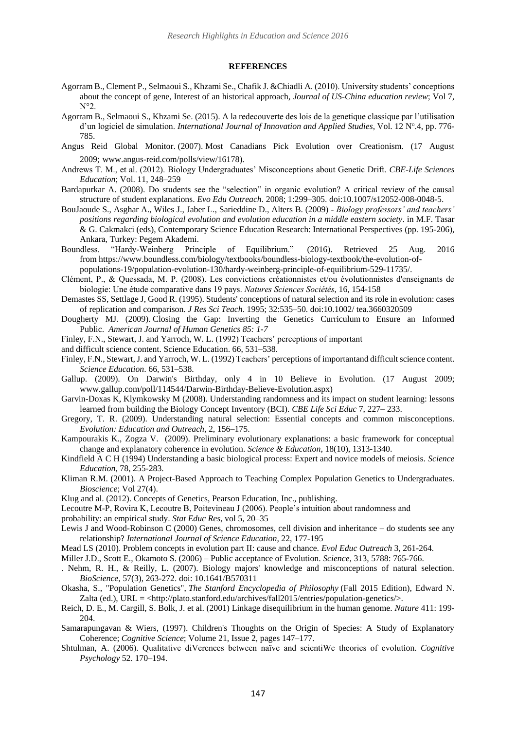#### **REFERENCES**

- Agorram B., Clement P., Selmaoui S., Khzami Se., Chafik J. &Chiadli A. (2010). University students' conceptions about the concept of gene, Interest of an historical approach, *Journal of US-China education review*; Vol 7, N°2.
- Agorram B., Selmaoui S., Khzami Se. (2015). A la redecouverte des lois de la genetique classique par l'utilisation d'un logiciel de simulation. International Journal of Innovation and Applied Studies, Vol. 12 Nº.4, pp. 776-785.
- Angus Reid Global Monitor. (2007). Most Canadians Pick Evolution over Creationism. (17 August 2009; www.angus-reid.com/polls/view/16178).
- Andrews T. M., et al. (2012). Biology Undergraduates' Misconceptions about Genetic Drift. *CBE-Life Sciences Education*; Vol. 11, 248–259
- Bardapurkar A. (2008). Do students see the "selection" in organic evolution? A critical review of the causal structure of student explanations. *Evo Edu Outreach*. 2008; 1:299–305. doi:10.1007/s12052-008-0048-5.
- BouJaoude S., Asghar A., Wiles J., Jaber L., Sarieddine D., Alters B. (2009) *Biology professors' and teachers' positions regarding biological evolution and evolution education in a middle eastern society*. in M.F. Tasar & G. Cakmakci (eds), Contemporary Science Education Research: International Perspectives (pp. 195-206), Ankara, Turkey: Pegem Akademi.
- Boundless. "Hardy-Weinberg Principle of Equilibrium." (2016). Retrieved 25 Aug. 2016 from [https://www.boundless.com/biology/textbooks/boundless-biology-textbook/the-evolution-of](https://www.boundless.com/biology/textbooks/boundless-biology-textbook/the-evolution-of-populations-19/population-evolution-130/hardy-weinberg-principle-of-equilibrium-529-11735/)[populations-19/population-evolution-130/hardy-weinberg-principle-of-equilibrium-529-11735/.](https://www.boundless.com/biology/textbooks/boundless-biology-textbook/the-evolution-of-populations-19/population-evolution-130/hardy-weinberg-principle-of-equilibrium-529-11735/)
- Clément, P., & Quessada, M. P. (2008). Les convictions créationnistes et/ou évolutionnistes d'enseignants de biologie: Une étude comparative dans 19 pays. *Natures Sciences Sociétés*, 16, 154-158
- Demastes SS, Settlage J, Good R. (1995). Students' conceptions of natural selection and its role in evolution: cases of replication and comparison. *J Res Sci Teach*. 1995; 32:535–50. doi:10.1002/ tea.3660320509
- Dougherty MJ. (2009). Closing the Gap: Inverting the Genetics [Curriculum](http://www.ncbi.nlm.nih.gov/pmc/articles/PMC2706960/?tool=pubmed) to Ensure an Informed [Public.](http://www.ncbi.nlm.nih.gov/pmc/articles/PMC2706960/?tool=pubmed) *American Journal of Human Genetics 85: 1-7*
- Finley, F.N., Stewart, J. and Yarroch, W. L. (1992) Teachers' perceptions of important
- and difficult science content. Science Education. 66, 531–538.
- Finley, F.N., Stewart,J. and Yarroch, W. L. (1992) Teachers' perceptions of importantand difficultscience content. *Science Education*. 66, 531–538.
- Gallup. (2009). On Darwin's Birthday, only 4 in 10 Believe in Evolution. (17 August 2009; www.gallup.com/poll/114544/Darwin-Birthday-Believe-Evolution.aspx)
- Garvin-Doxas K, Klymkowsky M (2008). Understanding randomness and its impact on student learning: lessons learned from building the Biology Concept Inventory (BCI). *CBE Life Sci Educ* 7, 227– 233.
- Gregory, T. R. (2009). Understanding natural selection: Essential concepts and common misconceptions. *Evolution: Education and Outreach*, 2, 156–175.
- Kampourakis K., Zogza V. (2009). Preliminary evolutionary explanations: a basic framework for conceptual change and explanatory coherence in evolution. *Science & Education*, 18(10), [1313-1340.](http://www.springerlink.com/content/t26127781p1vxhp4/)
- Kindfield A C H (1994) Understanding a basic biological process: Expert and novice models of meiosis. *Science Education*, 78, 255-283.
- Kliman R.M. (2001). A Project-Based Approach to Teaching Complex Population Genetics to Undergraduates. *Bioscience*; Vol 27(4).
- Klug and al. (2012). Concepts of Genetics, Pearson Education, Inc., publishing.
- Lecoutre M-P, Rovira K, Lecoutre B, Poitevineau J (2006). People's intuition about randomness and
- probability: an empirical study. *Stat Educ Res*, vol 5, 20–35
- Lewis J and Wood-Robinson C (2000) Genes, chromosomes, cell division and inheritance do students see any relationship? *International Journal of Science Education*, 22, 177-195
- Mead LS (2010). Problem concepts in evolution part II: cause and chance. *Evol Educ Outreach* 3, 261-264.
- Miller J.D., Scott E., Okamoto S. (2006) Public acceptance of Evolution. *Science,* 313, 5788: 765-766.
- . Nehm, R. H., & Reilly, L. (2007). Biology majors' knowledge and misconceptions of natural selection. *BioScience*, 57(3), 263-272. doi: 10.1641/B570311
- Okasha, S., "Population Genetics", *The Stanford Encyclopedia of Philosophy* (Fall 2015 Edition), Edward N. Zalta (ed.),  $URL = <$ http://plato.stanford.edu/archives/fall2015/entries/population-genetics/ $>$ .
- Reich, D. E., M. Cargill, S. Bolk, J. et al. (2001) Linkage disequilibrium in the human genome. *Nature* 411: 199- 204.
- Samarapungavan & Wiers, (1997). Children's Thoughts on the Origin of Species: A Study of Explanatory Coherence; *Cognitive Science*; Volume 21, Issue 2, pages 147–177.
- Shtulman, A. (2006). Qualitative diVerences between naïve and scientiWc theories of evolution. *Cognitive Psychology* 52. 170–194.